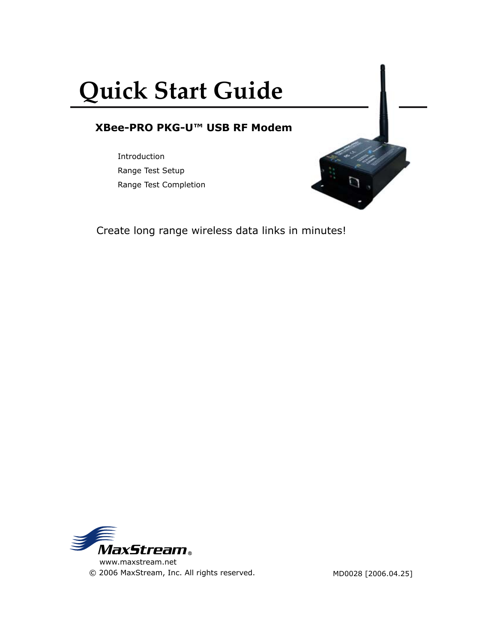# **Quick Start Guide**

## **XBee-PRO PKG-U™ USB RF Modem**

Introduction Range Test Setup Range Test Completion

Create long range wireless data links in minutes!



 www.maxstream.net © 2006 MaxStream, Inc. All rights reserved.

MD0028 [2006.04.25]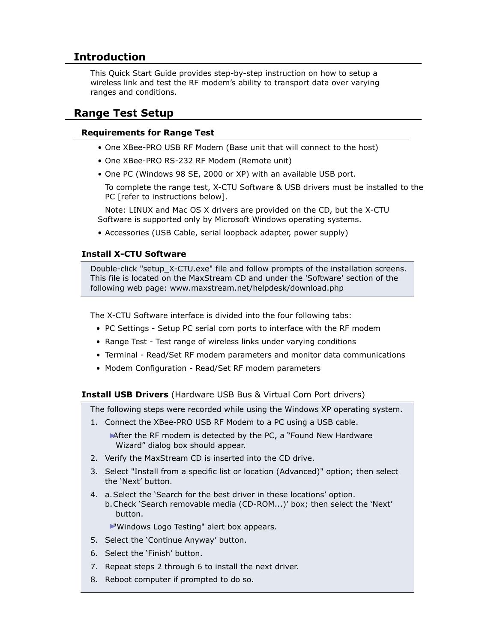## **Introduction**

This Quick Start Guide provides step-by-step instruction on how to setup a wireless link and test the RF modem's ability to transport data over varying ranges and conditions.

### **Range Test Setup**

#### **Requirements for Range Test**

- One XBee-PRO USB RF Modem (Base unit that will connect to the host)
- One XBee-PRO RS-232 RF Modem (Remote unit)
- One PC (Windows 98 SE, 2000 or XP) with an available USB port.

 To complete the range test, X-CTU Software & USB drivers must be installed to the PC [refer to instructions below].

 Note: LINUX and Mac OS X drivers are provided on the CD, but the X-CTU Software is supported only by Microsoft Windows operating systems.

• Accessories (USB Cable, serial loopback adapter, power supply)

#### **Install X-CTU Software**

Double-click "setup\_X-CTU.exe" file and follow prompts of the installation screens. This file is located on the MaxStream CD and under the 'Software' section of the following web page: www.maxstream.net/helpdesk/download.php

The X-CTU Software interface is divided into the four following tabs:

- PC Settings Setup PC serial com ports to interface with the RF modem
- Range Test Test range of wireless links under varying conditions
- Terminal Read/Set RF modem parameters and monitor data communications
- Modem Configuration Read/Set RF modem parameters

**Install USB Drivers** (Hardware USB Bus & Virtual Com Port drivers)

The following steps were recorded while using the Windows XP operating system.

1. Connect the XBee-PRO USB RF Modem to a PC using a USB cable.

After the RF modem is detected by the PC, a "Found New Hardware" Wizard" dialog box should appear.

- 2. Verify the MaxStream CD is inserted into the CD drive.
- 3. Select "Install from a specific list or location (Advanced)" option; then select the 'Next' button.
- 4. a.Select the 'Search for the best driver in these locations' option. b.Check 'Search removable media (CD-ROM...)' box; then select the 'Next' button.

"Windows Logo Testing" alert box appears.

- 5. Select the 'Continue Anyway' button.
- 6. Select the 'Finish' button.
- 7. Repeat steps 2 through 6 to install the next driver.
- 8. Reboot computer if prompted to do so.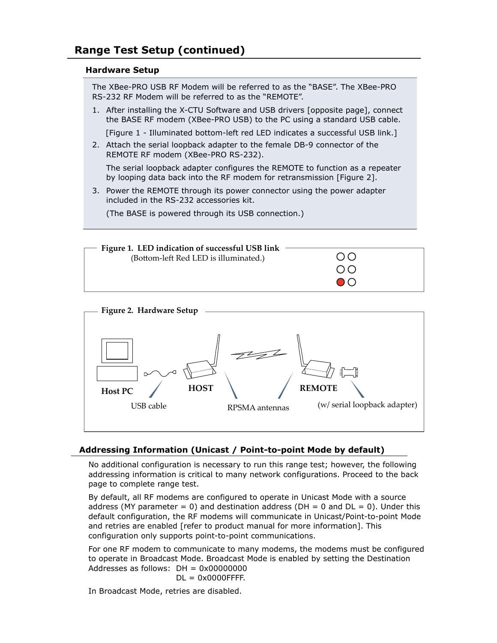#### **Hardware Setup**

The XBee-PRO USB RF Modem will be referred to as the "BASE". The XBee-PRO RS-232 RF Modem will be referred to as the "REMOTE".

1. After installing the X-CTU Software and USB drivers [opposite page], connect the BASE RF modem (XBee-PRO USB) to the PC using a standard USB cable.

[Figure 1 - Illuminated bottom-left red LED indicates a successful USB link.]

2. Attach the serial loopback adapter to the female DB-9 connector of the REMOTE RF modem (XBee-PRO RS-232).

 The serial loopback adapter configures the REMOTE to function as a repeater by looping data back into the RF modem for retransmission [Figure 2].

3. Power the REMOTE through its power connector using the power adapter included in the RS-232 accessories kit.

(The BASE is powered through its USB connection.)





#### **Addressing Information (Unicast / Point-to-point Mode by default)**

No additional configuration is necessary to run this range test; however, the following addressing information is critical to many network configurations. Proceed to the back page to complete range test.

By default, all RF modems are configured to operate in Unicast Mode with a source address (MY parameter = 0) and destination address ( $DH = 0$  and  $DL = 0$ ). Under this default configuration, the RF modems will communicate in Unicast/Point-to-point Mode and retries are enabled [refer to product manual for more information]. This configuration only supports point-to-point communications.

For one RF modem to communicate to many modems, the modems must be configured to operate in Broadcast Mode. Broadcast Mode is enabled by setting the Destination Addresses as follows:  $DH = 0x00000000$  $DL = 0x0000$ FFFF.

In Broadcast Mode, retries are disabled.